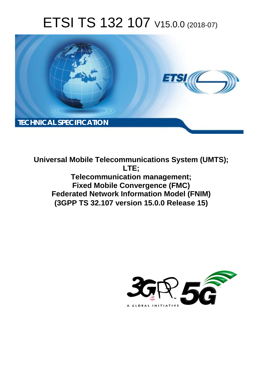# ETSI TS 132 107 V15.0.0 (2018-07)



**Universal Mobile Telecommunications System (UMTS); LTE; Telecommunication management; Fixed Mobile Convergence (FMC) Federated Network Information Model (FNIM) (3GPP TS 32.107 version 15.0.0 Release 15)** 

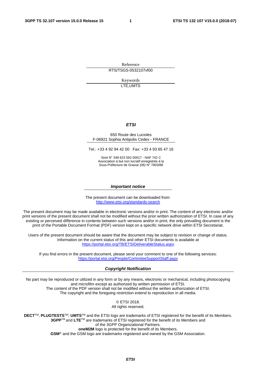Reference RTS/TSGS-0532107vf00

> Keywords LTE,UMTS

#### *ETSI*

#### 650 Route des Lucioles F-06921 Sophia Antipolis Cedex - FRANCE

Tel.: +33 4 92 94 42 00 Fax: +33 4 93 65 47 16

Siret N° 348 623 562 00017 - NAF 742 C Association à but non lucratif enregistrée à la Sous-Préfecture de Grasse (06) N° 7803/88

#### *Important notice*

The present document can be downloaded from: <http://www.etsi.org/standards-search>

The present document may be made available in electronic versions and/or in print. The content of any electronic and/or print versions of the present document shall not be modified without the prior written authorization of ETSI. In case of any existing or perceived difference in contents between such versions and/or in print, the only prevailing document is the print of the Portable Document Format (PDF) version kept on a specific network drive within ETSI Secretariat.

Users of the present document should be aware that the document may be subject to revision or change of status. Information on the current status of this and other ETSI documents is available at <https://portal.etsi.org/TB/ETSIDeliverableStatus.aspx>

If you find errors in the present document, please send your comment to one of the following services: <https://portal.etsi.org/People/CommiteeSupportStaff.aspx>

#### *Copyright Notification*

No part may be reproduced or utilized in any form or by any means, electronic or mechanical, including photocopying and microfilm except as authorized by written permission of ETSI. The content of the PDF version shall not be modified without the written authorization of ETSI. The copyright and the foregoing restriction extend to reproduction in all media.

> © ETSI 2018. All rights reserved.

**DECT**TM, **PLUGTESTS**TM, **UMTS**TM and the ETSI logo are trademarks of ETSI registered for the benefit of its Members. **3GPP**TM and **LTE**TM are trademarks of ETSI registered for the benefit of its Members and of the 3GPP Organizational Partners. **oneM2M** logo is protected for the benefit of its Members.

**GSM**® and the GSM logo are trademarks registered and owned by the GSM Association.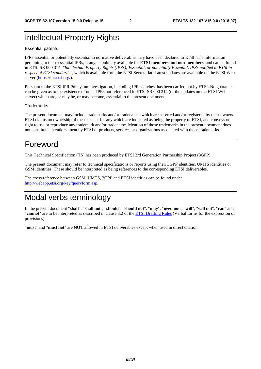### Intellectual Property Rights

#### Essential patents

IPRs essential or potentially essential to normative deliverables may have been declared to ETSI. The information pertaining to these essential IPRs, if any, is publicly available for **ETSI members and non-members**, and can be found in ETSI SR 000 314: *"Intellectual Property Rights (IPRs); Essential, or potentially Essential, IPRs notified to ETSI in respect of ETSI standards"*, which is available from the ETSI Secretariat. Latest updates are available on the ETSI Web server ([https://ipr.etsi.org/\)](https://ipr.etsi.org/).

Pursuant to the ETSI IPR Policy, no investigation, including IPR searches, has been carried out by ETSI. No guarantee can be given as to the existence of other IPRs not referenced in ETSI SR 000 314 (or the updates on the ETSI Web server) which are, or may be, or may become, essential to the present document.

#### **Trademarks**

The present document may include trademarks and/or tradenames which are asserted and/or registered by their owners. ETSI claims no ownership of these except for any which are indicated as being the property of ETSI, and conveys no right to use or reproduce any trademark and/or tradename. Mention of those trademarks in the present document does not constitute an endorsement by ETSI of products, services or organizations associated with those trademarks.

### Foreword

This Technical Specification (TS) has been produced by ETSI 3rd Generation Partnership Project (3GPP).

The present document may refer to technical specifications or reports using their 3GPP identities, UMTS identities or GSM identities. These should be interpreted as being references to the corresponding ETSI deliverables.

The cross reference between GSM, UMTS, 3GPP and ETSI identities can be found under [http://webapp.etsi.org/key/queryform.asp.](http://webapp.etsi.org/key/queryform.asp)

### Modal verbs terminology

In the present document "**shall**", "**shall not**", "**should**", "**should not**", "**may**", "**need not**", "**will**", "**will not**", "**can**" and "**cannot**" are to be interpreted as described in clause 3.2 of the [ETSI Drafting Rules](https://portal.etsi.org/Services/editHelp!/Howtostart/ETSIDraftingRules.aspx) (Verbal forms for the expression of provisions).

"**must**" and "**must not**" are **NOT** allowed in ETSI deliverables except when used in direct citation.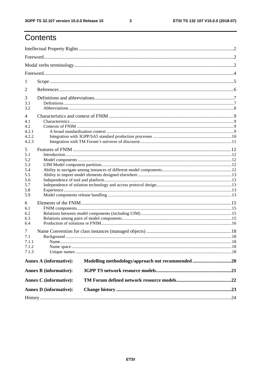$\mathbf{3}$ 

## Contents

| 1              |                               |  |  |  |  |
|----------------|-------------------------------|--|--|--|--|
| 2              |                               |  |  |  |  |
| 3              |                               |  |  |  |  |
| 3.1            |                               |  |  |  |  |
| 3.2            |                               |  |  |  |  |
| $\overline{4}$ |                               |  |  |  |  |
| 4.1            |                               |  |  |  |  |
| 4.2            |                               |  |  |  |  |
| 4.2.1          |                               |  |  |  |  |
| 4.2.2          |                               |  |  |  |  |
| 4.2.3          |                               |  |  |  |  |
| 5              |                               |  |  |  |  |
| 5.1            |                               |  |  |  |  |
| 5.2            |                               |  |  |  |  |
| 5.3            |                               |  |  |  |  |
| 5.4            |                               |  |  |  |  |
| 5.5            |                               |  |  |  |  |
| 5.6            |                               |  |  |  |  |
| 5.7<br>5.8     |                               |  |  |  |  |
| 5.9            |                               |  |  |  |  |
| 6              |                               |  |  |  |  |
| 6.1            |                               |  |  |  |  |
| 6.2            |                               |  |  |  |  |
| 6.3            |                               |  |  |  |  |
| 6.4            |                               |  |  |  |  |
| 7              |                               |  |  |  |  |
| 7.1            |                               |  |  |  |  |
| 7.1.1          |                               |  |  |  |  |
| 7.1.2          |                               |  |  |  |  |
| 7.1.3          |                               |  |  |  |  |
|                |                               |  |  |  |  |
|                | <b>Annex A (informative):</b> |  |  |  |  |
|                | <b>Annex B</b> (informative): |  |  |  |  |
|                | <b>Annex C</b> (informative): |  |  |  |  |
|                | <b>Annex D</b> (informative): |  |  |  |  |
|                |                               |  |  |  |  |
|                |                               |  |  |  |  |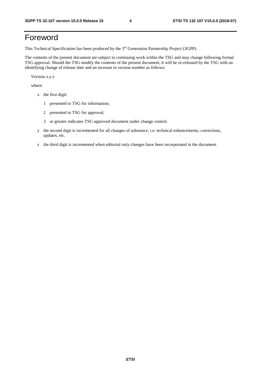## Foreword

This Technical Specification has been produced by the 3rd Generation Partnership Project (3GPP).

The contents of the present document are subject to continuing work within the TSG and may change following formal TSG approval. Should the TSG modify the contents of the present document, it will be re-released by the TSG with an identifying change of release date and an increase in version number as follows:

Version x.y.z

where:

- x the first digit:
	- 1 presented to TSG for information;
	- 2 presented to TSG for approval;
	- 3 or greater indicates TSG approved document under change control.
- y the second digit is incremented for all changes of substance, i.e. technical enhancements, corrections, updates, etc.
- z the third digit is incremented when editorial only changes have been incorporated in the document.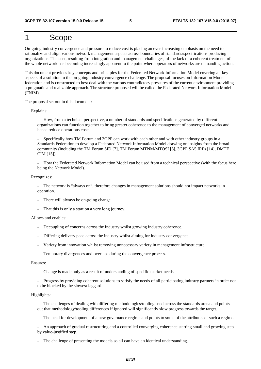### 1 Scope

On-going industry convergence and pressure to reduce cost is placing an ever-increasing emphasis on the need to rationalize and align various network management aspects across boundaries of standards/specifications producing organizations. The cost, resulting from integration and management challenges, of the lack of a coherent treatment of the whole network has becoming increasingly apparent to the point where operators of networks are demanding action.

This document provides key concepts and principles for the Federated Network Information Model covering all key aspects of a solution to the on-going industry convergence challenge. The proposal focuses on Information Model federation and is constructed to best deal with the various contradictory pressures of the current environment providing a pragmatic and realizable approach. The structure proposed will be called the Federated Network Information Model (FNIM).

The proposal set out in this document:

Explains:

- How, from a technical perspective, a number of standards and specifications generated by different organizations can function together to bring greater coherence to the management of converged networks and hence reduce operations costs.

Specifically how TM Forum and 3GPP can work with each other and with other industry groups in a Standards Federation to develop a Federated Network Information Model drawing on insights from the broad community (including the TM Forum SID [7], TM Forum MTNM/MTOSI [8], 3GPP SA5 IRPs [14], DMTF CIM [15]).

- How the Federated Network Information Model can be used from a technical perspective (with the focus here being the Network Model).

Recognizes:

- The network is "always on", therefore changes in management solutions should not impact networks in operation.

- There will always be on-going change.
- That this is only a start on a very long journey.

#### Allows and enables:

- Decoupling of concerns across the industry whilst growing industry coherence.
- Differing delivery pace across the industry whilst aiming for industry convergence.
- Variety from innovation whilst removing unnecessary variety in management infrastructure.
- Temporary divergences and overlaps during the convergence process.

#### Ensures:

- Change is made only as a result of understanding of specific market needs.
- Progress by providing coherent solutions to satisfy the needs of all participating industry partners in order not to be blocked by the slowest laggard.

#### Highlights:

- The challenges of dealing with differing methodologies/tooling used across the standards arena and points out that methodology/tooling differences if ignored will significantly slow progress towards the target.

- The need for development of a new governance regime and points to some of the attributes of such a regime.

- An approach of gradual restructuring and a controlled converging coherence starting small and growing step by value-justified step.

The challenge of presenting the models so all can have an identical understanding.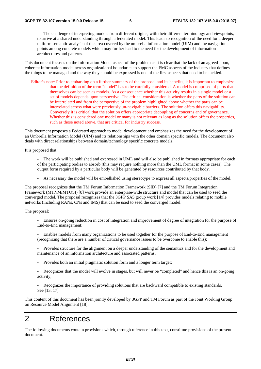The challenge of interpreting models from different origins, with their different terminology and viewpoints, to arrive at a shared understanding through a federated model. This leads to recognition of the need for a deeper uniform semantic analysis of the area covered by the umbrella information model (UIM) and the navigation points among concrete models which may further lead to the need for the development of information architectures and patterns.

This document focuses on the Information Model aspect of the problem as it is clear that the lack of an agreed-upon, coherent information model across organizational boundaries to support the FMC aspects of the industry that defines the things to be managed and the way they should be expressed is one of the first aspects that need to be tackled.

Editor's note: Prior to embarking on a further summary of the proposal and its benefits, it is important to emphasize that the definition of the term "model" has to be carefully considered. A model is comprised of parts that themselves can be seen as models. As a consequence whether this activity results in a single model or a set of models depends upon perspective. The critical consideration is whether the parts of the solution can be interrelated and from the perspective of the problem highlighted above whether the parts can be interrelated across what were previously un-navigable barriers. The solution offers this navigability. Conversely it is critical that the solution offers appropriate decoupling of concerns and of governance. Whether this is considered one model or many is not relevant as long as the solution offers the properties, such as those noted above, that are critical for industry success.

This document proposes a Federated approach to model development and emphasizes the need for the development of an Umbrella Information Model (UIM) and its relationships with the other domain specific models. The document also deals with direct relationships between domain/technology specific concrete models.

It is proposed that:

- The work will be published and expressed in UML and will also be published in formats appropriate for each of the participating bodies to absorb (this may require nothing more than the UML format in some cases). The output form required by a particular body will be generated by resources contributed by that body.
- As necessary the model will be embellished using stereotype to express all aspects/properties of the model.

The proposal recognizes that the TM Forum Information Framework (SID) [7] and the TM Forum Integration Framework (MTNM/MTOSI) [8] work provide an enterprise-wide structure and model that can be used to seed the converged model. The proposal recognizes that the 3GPP SA5 group work [14] provides models relating to mobile networks (including RANs, CNs and IMS) that can be used to seed the converged model.

The proposal:

- Ensures on-going reduction in cost of integration and improvement of degree of integration for the purpose of End-to-End management;
- Enables models from many organizations to be used together for the purpose of End-to-End management (recognizing that there are a number of critical governance issues to be overcome to enable this);
- Provides structure for the alignment on a deeper understanding of the semantics and for the development and maintenance of an information architecture and associated patterns;
- Provides both an initial pragmatic solution form and a longer term target;
- Recognizes that the model will evolve in stages, but will never be "completed" and hence this is an on-going activity;
- Recognizes the importance of providing solutions that are backward compatible to existing standards. See [13, 17]

This content of this document has been jointly developed by 3GPP and TM Forum as part of the Joint Working Group on Resource Model Alignment [18].

## 2 References

The following documents contain provisions which, through reference in this text, constitute provisions of the present document.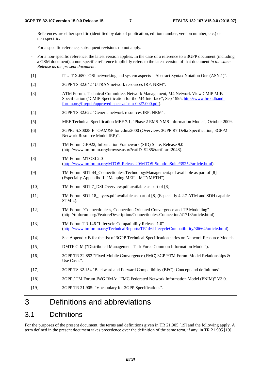- References are either specific (identified by date of publication, edition number, version number, etc.) or non-specific.
- For a specific reference, subsequent revisions do not apply.
- For a non-specific reference, the latest version applies. In the case of a reference to a 3GPP document (including a GSM document), a non-specific reference implicitly refers to the latest version of that document *in the same Release as the present document*.
- [1] ITU-T X.680 "OSI networking and system aspects Abstract Syntax Notation One (ASN.1)".
- [2] 3GPP TS 32.642 "UTRAN network resources IRP: NRM".
- [3] ATM Forum, Technical Committee, Network Management, M4 Network View CMIP MIB Specification ("CMIP Specification for the M4 Interface", Sep 1995, [http://www.broadband](http://www.broadband-forum.org/ftp/pub/approved-specs/af-nm-0027.000.pdf)[forum.org/ftp/pub/approved-specs/af-nm-0027.000.pdf\)](http://www.broadband-forum.org/ftp/pub/approved-specs/af-nm-0027.000.pdf).
- [4] 3GPP TS 32.622 "Generic network resources IRP: NRM".
- [5] MEF Technical Specification MEF 7.1, "Phase 2 EMS-NMS Information Model", October 2009.
- [6] 3GPP2 S.S0028-E "OAM&P for cdma2000 (Overview, 3GPP R7 Delta Specification, 3GPP2 Network Resource Model IRP)".
- [7] TM Forum GB922, Information Framework (SID) Suite, Release 9.0 (http://www.tmforum.org/browse.aspx?catID=9285&artf=artf2048).
- [8] TM Forum MTOSI 2.0 [\(http://www.tmforum.org/MTOSIRelease20/MTOSISolutionSuite/35252/article.html](http://www.tmforum.org/MTOSIRelease20/MTOSISolutionSuite/35252/article.html)).
- [9] TM Forum SD1-44\_ConnectionlessTechnologyManagement.pdf available as part of [8] (Especially Appendix III "Mapping MEF – MTNMETH").
- [10] TM Forum SD1-7\_DSLOverview.pdf available as part of [8].
- [11] TM Forum SD1-18\_layers.pdf available as part of [8] (Especially 4.2.7 ATM and SDH capable STM-4).
- [12] TM Forum "Connectionless, Connection Oriented Convergence and TP Modelling" (http://tmforum.org/FeatureDescription/ConnectionlessConnection/41718/article.html).
- [13] TM Forum TR 146 "Lifecycle Compatibility Release 1.0" [\(http://www.tmforum.org/TechnicalReports/TR146LifecycleCompatibility/36664/article.html](http://www.tmforum.org/TechnicalReports/TR146LifecycleCompatibility/36664/article.html)).
- [14] See Appendix B for the list of 3GPP Technical Specification series on Network Resource Models.
- [15] DMTF CIM ("Distributed Management Task Force Common Information Model").
- [16] 3GPP TR 32.852 "Fixed Mobile Convergence (FMC) 3GPP/TM Forum Model Relationships & Use Cases".
- [17] 3GPP TS 32.154 "Backward and Forward Compatibility (BFC); Concept and definitions".
- [18] 3GPP / TM Forum JWG RMA: "FMC Federated Network Information Model (FNIM)" V3.0.
- [19] 3GPP TR 21.905: "Vocabulary for 3GPP Specifications".

## 3 Definitions and abbreviations

### 3.1 Definitions

For the purposes of the present document, the terms and definitions given in TR 21.905 [19] and the following apply. A term defined in the present document takes precedence over the definition of the same term, if any, in TR 21.905 [19].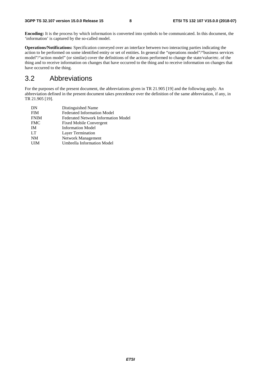**Encoding:** It is the process by which information is converted into symbols to be communicated. In this document, the 'information' is captured by the so-called model.

**Operations/Notifications:** Specification conveyed over an interface between two interacting parties indicating the action to be performed on some identified entity or set of entities. In general the "operations model"/"business services model"/"action model" (or similar) cover the definitions of the actions performed to change the state/value/etc. of the thing and to receive information on changes that have occurred to the thing and to receive information on changes that have occurred to the thing.

#### 3.2 Abbreviations

For the purposes of the present document, the abbreviations given in TR 21.905 [19] and the following apply. An abbreviation defined in the present document takes precedence over the definition of the same abbreviation, if any, in TR 21.905 [19].

| DN          | Distinguished Name                         |
|-------------|--------------------------------------------|
| <b>FIM</b>  | <b>Federated Information Model</b>         |
| <b>FNIM</b> | <b>Federated Network Information Model</b> |
| <b>FMC</b>  | <b>Fixed Mobile Convergent</b>             |
| <b>IM</b>   | <b>Information Model</b>                   |
| LT          | Layer Termination                          |
| <b>NM</b>   | Network Management                         |
| <b>UIM</b>  | <b>Umbrella Information Model</b>          |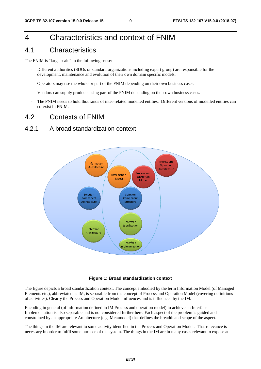## 4 Characteristics and context of FNIM

#### 4.1 Characteristics

The FNIM is "large scale" in the following sense:

- Different authorities (SDOs or standard organizations including expert group) are responsible for the development, maintenance and evolution of their own domain specific models.
- Operators may use the whole or part of the FNIM depending on their own business cases.
- Vendors can supply products using part of the FNIM depending on their own business cases.
- The FNIM needs to hold thousands of inter-related modelled entities. Different versions of modelled entities can co-exist in FNIM.

#### 4.2 Contexts of FNIM

#### 4.2.1 A broad standardization context



#### **Figure 1: Broad standardization context**

The figure depicts a broad standardization context. The concept embodied by the term Information Model (of Managed Elements etc.), abbreviated as IM, is separable from the concept of Process and Operation Model (covering definitions of activities). Clearly the Process and Operation Model influences and is influenced by the IM.

Encoding in general (of information defined in IM Process and operation model) to achieve an Interface Implementation is also separable and is not considered further here. Each aspect of the problem is guided and constrained by an appropriate Architecture (e.g. Metamodel) that defines the breadth and scope of the aspect.

The things in the IM are relevant to some activity identified in the Process and Operation Model. That relevance is necessary in order to fulfil some purpose of the system. The things in the IM are in many cases relevant to expose at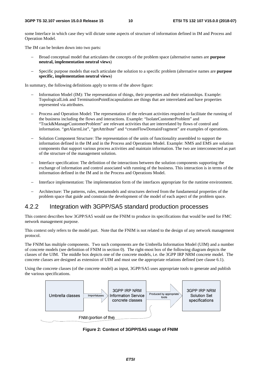some Interface in which case they will dictate some aspects of structure of information defined in IM and Process and Operation Model.

The IM can be broken down into two parts:

- − Broad conceptual model that articulates the concepts of the problem space (alternative names are **purpose neutral, implementation neutral views**)
- − Specific purpose models that each articulate the solution to a specific problem (alternative names are **purpose specific, implementation neutral views**)

In summary, the following definitions apply to terms of the above figure:

- − Information Model (IM): The representation of things, their properties and their relationships. Example: TopologicalLink and TerminationPointEncapsulation are things that are interrelated and have properties represented via attributes.
- Process and Operation Model: The representation of the relevant activities required to facilitate the running of the business including the flows and interactions. Example: "IsolateCustomerProblem" and "Track&ManageCustomerProblem" are relevant activities that are interrelated by flows of control and information. "getAlarmList", "getAttribute" and "createFlowDomainFragment" are examples of operations.
- Solution Component Structure: The representation of the units of functionality assembled to support the information defined in the IM and in the Process and Operations Model. Example: NMS and EMS are solution components that support various process activities and maintain information. The two are interconnected as part of the structure of the management solution.
- − Interface specification: The definition of the interactions between the solution components supporting the exchange of information and control associated with running of the business. This interaction is in terms of the information defined in the IM and in the Process and Operations Model.
- − Interface implementation: The implementation form of the interfaces appropriate for the runtime environment.
- − Architecture: The patterns, rules, metamodels and structures derived from the fundamental properties of the problem space that guide and constrain the development of the model of each aspect of the problem space.

#### 4.2.2 Integration with 3GPP/SA5 standard production processes

This context describes how 3GPP/SA5 would use the FNIM to produce its specifications that would be used for FMC network management purpose.

This context only refers to the model part. Note that the FNIM is not related to the design of any network management protocol.

The FNIM has multiple components. Two such components are the Umbrella Information Model (UIM) and a number of concrete models (see definition of FNIM in section 0). The right-most box of the following diagram depicts the classes of the UIM. The middle box depicts one of the concrete models, i.e. the 3GPP IRP NRM concrete model. The concrete classes are designed as extension of UIM and must use the appropriate relations defined (see clause 6.1).

Using the concrete classes (of the concrete model) as input, 3GPP/SA5 uses appropriate tools to generate and publish the various specifications.



**Figure 2: Context of 3GPP/SA5 usage of FNIM**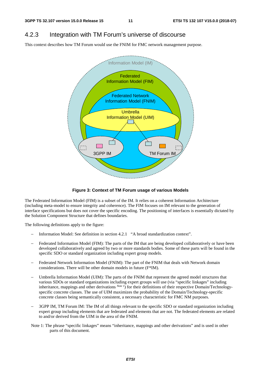### 4.2.3 Integration with TM Forum's universe of discourse

This context describes how TM Forum would use the FNIM for FMC network management purpose.



#### **Figure 3: Context of TM Forum usage of various Models**

The Federated Information Model (FIM) is a subset of the IM. It relies on a coherent Information Architecture (including meta-model to ensure integrity and coherence). The FIM focuses on IM relevant to the generation of interface specifications but does not cover the specific encoding. The positioning of interfaces is essentially dictated by the Solution Component Structure that defines boundaries.

The following definitions apply to the figure:

- − Information Model: See definition in section 4.2.1 "A broad standardization context".
- Federated Information Model (FIM): The parts of the IM that are being developed collaboratively or have been developed collaboratively and agreed by two or more standards bodies. Some of these parts will be found in the specific SDO or standard organization including expert group models.
- Federated Network Information Model (FNIM): The part of the FNIM that deals with Network domain considerations. There will be other domain models in future (F\*IM).
- Umbrella Information Model (UIM): The parts of the FNIM that represent the agreed model structures that various SDOs or standard organizations including expert groups will use (via "specific linkages" including inheritance, mappings and other derivations *Note 1*) for their definitions of their respective Domain/Technologyspecific concrete classes. The use of UIM maximizes the probability of the Domain/Technology-specific concrete classes being semantically consistent, a necessary characteristic for FMC NM purposes.
- 3GPP IM, TM Forum IM: The IM of all things relevant to the specific SDO or standard organization including expert group including elements that are federated and elements that are not. The federated elements are related to and/or derived from the UIM in the area of the FNIM.
- Note 1: The phrase "specific linkages" means "inheritance, mappings and other derivations" and is used in other parts of this document.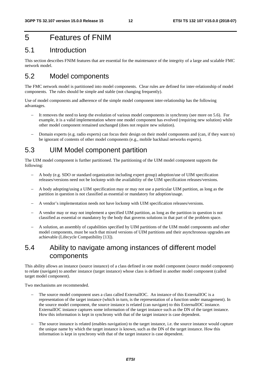### 5 Features of FNIM

#### 5.1 Introduction

This section describes FNIM features that are essential for the maintenance of the integrity of a large and scalable FMC network model.

### 5.2 Model components

The FMC network model is partitioned into model components. Clear rules are defined for inter-relationship of model components. The rules should be simple and stable (not changing frequently).

Use of model components and adherence of the simple model component inter-relationship has the following advantages.

- It removes the need to keep the evolution of various model components in synchrony (see more on 5.6). For example, it is a valid implementation where one model component has evolved (requiring new solution) while other model component remained unchanged (does not require new solution).
- − Domain experts (e.g. radio experts) can focus their design on their model components and (can, if they want to) be ignorant of contents of other model components (e.g., mobile backhaul networks experts).

#### 5.3 UIM Model component partition

The UIM model component is further partitioned. The partitioning of the UIM model component supports the following:

- − A body (e.g. SDO or standard organization including expert group) adoption/use of UIM specification releases/versions need not be lockstep with the availability of the UIM specification releases/versions.
- − A body adopting/using a UIM specification may or may not use a particular UIM partition, as long as the partition in question is not classified as essential or mandatory for adoption/usage.
- − A vendor's implementation needs not have lockstep with UIM specification releases/versions.
- − A vendor may or may not implement a specified UIM partition, as long as the partition in question is not classified as essential or mandatory by the body that governs solutions in that part of the problem space.
- A solution, an assembly of capabilities specified by UIM partitions of the UIM model components and other model components, must be such that mixed versions of UIM partitions and their asynchronous upgrades are achievable (Lifecycle Compatibility [13]).

### 5.4 Ability to navigate among instances of different model components

This ability allows an instance (source instance) of a class defined in one model component (source model component) to relate (navigate) to another instance (target instance) whose class is defined in another model component (called target model component).

Two mechanisms are recommended.

- The source model component uses a class called ExternalIOC. An instance of this ExternalIOC is a representation of the target instance (which in turn, is the representation of a function under management). In the source model component, the source instance is related (can navigate) to this ExternalIOC instance. ExternalIOC instance captures some information of the target instance such as the DN of the target instance. How this information is kept in synchrony with that of the target instance is case dependent.
- The source instance is related (enables navigation) to the target instance, i.e. the source instance would capture the unique name by which the target instance is known, such as the DN of the target instance. How this information is kept in synchrony with that of the target instance is case dependent.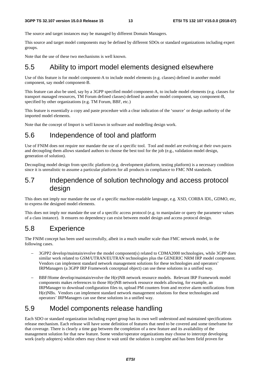The source and target instances may be managed by different Domain Managers.

This source and target model components may be defined by different SDOs or standard organizations including expert groups.

Note that the use of these two mechanisms is well known.

### 5.5 Ability to import model elements designed elsewhere

Use of this feature is for model component-A to include model elements (e.g. classes) defined in another model component, say model component-B.

This feature can also be used, say by a 3GPP specified model component-A, to include model elements (e.g. classes for transport managed resources, TM Forum defined classes) defined in another model component, say component-B, specified by other organizations (e.g. TM Forum, BBF, etc.)

This feature is essentially a copy and paste procedure with a clear indication of the 'source' or design authority of the imported model elements.

Note that the concept of Import is well known in software and modelling design work.

### 5.6 Independence of tool and platform

Use of FNIM does not require nor mandate the use of a specific tool. Tool and model are evolving at their own paces and decoupling them allows standard authors to choose the best tool for the job (e.g., validation model design, generation of solution).

Decoupling model design from specific platform (e.g. development platform, testing platform) is a necessary condition since it is unrealistic to assume a particular platform for all products in compliance to FMC NM standards.

### 5.7 Independence of solution technology and access protocol design

This does not imply nor mandate the use of a specific machine-readable language, e.g. XSD, CORBA IDL, GDMO, etc, to express the designed model elements.

This does not imply nor mandate the use of a specific access protocol (e.g. to manipulate or query the parameter values of a class instance). It ensures no dependency can exist between model design and access protocol design.

### 5.8 Experience

The FNIM concept has been used successfully, albeit in a much smaller scale than FMC network model, in the following cases.

- 3GPP2 develop/maintain/evolve the model component(s) related to CDMA2000 technologies, while 3GPP does similar work related to GSM/UTRAN/EUTRAN technologies plus the GENERIC NRM IRP model component. Vendors can implement standard network management solutions for these technologies and operators' IRPManagers (a 3GPP IRP Framework conceptual object) can use these solutions in a unified way.
- BBF/Home develop/maintain/evolve the H(e)NB network resource models. Relevant IRP Framework model components makes references to those  $H(e)NB$  network resource models allowing, for example, an IRPManager to download configuration files to, upload PM counters from and receive alarm notifications from H(e)NBs. Vendors can implement standard network management solutions for these technologies and operators' IRPManagers can use these solutions in a unified way.

### 5.9 Model components release handling

Each SDO or standard organization including expert group has its own well understood and maintained specifications release mechanism. Each release will have some definition of features that need to be covered and some timeframe for that coverage. There is clearly a time gap between the completion of a new feature and its availability of the management solution for that new feature. Some vendor/operator organizations may choose to intercept developing work (early adopters) whilst others may chose to wait until the solution is complete and has been field proven for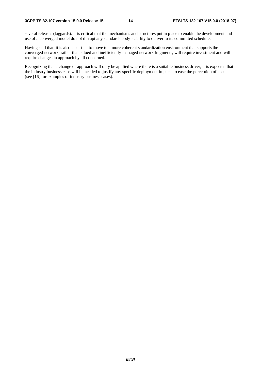several releases (laggards). It is critical that the mechanisms and structures put in place to enable the development and use of a converged model do not disrupt any standards body's ability to deliver to its committed schedule.

Having said that, it is also clear that to move to a more coherent standardization environment that supports the converged network, rather than siloed and inefficiently managed network fragments, will require investment and will require changes in approach by all concerned.

Recognizing that a change of approach will only be applied where there is a suitable business driver, it is expected that the industry business case will be needed to justify any specific deployment impacts to ease the perception of cost (see [16] for examples of industry business cases).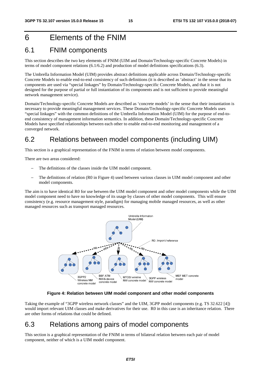## 6 Elements of the FNIM

#### 6.1 FNIM components

This section describes the two key elements of FNIM (UIM and Domain/Technology-specific Concrete Models) in terms of model component relations (6.1/6.2) and production of model definitions specifications (6.3).

The Umbrella Information Model (UIM) provides abstract definitions applicable across Domain/Technology-specific Concrete Models to enable end-to-end consistency of such definitions (it is described as 'abstract' in the sense that its components are used via "special linkages" by Domain/Technology-specific Concrete Models, and that it is not designed for the purpose of partial or full instantiation of its components and is not sufficient to provide meaningful network management service).

Domain/Technology-specific Concrete Models are described as 'concrete models' in the sense that their instantiation is necessary to provide meaningful management services. These Domain/Technology-specific Concrete Models uses "special linkages" with the common definitions of the Umbrella Information Model (UIM) for the purpose of end-toend consistency of management information semantics. In addition, these Domain/Technology-specific Concrete Models have specified relationships between each other to enable end-to-end monitoring and management of a converged network.

### 6.2 Relations between model components (including UIM)

This section is a graphical representation of the FNIM in terms of relation between model components.

There are two areas considered:

- The definitions of the classes inside the UIM model component.
- The definitions of relation (R0 in Figure 4) used between various classes in UIM model component and other model components.

The aim is to have identical R0 for use between the UIM model component and other model components while the UIM model component need to have no knowledge of its usage by classes of other model components. This will ensure consistency (e.g. resource management style, paradigm) for managing mobile managed resources, as well as other managed resources such as transport managed resources.



**Figure 4: Relation between UIM model component and other model components** 

Taking the example of "3GPP wireless network classes" and the UIM, 3GPP model components (e.g. TS 32.622 [4]) would import relevant UIM classes and make derivatives for their use. R0 in this case is an inheritance relation. There are other forms of relations that could be defined.

#### 6.3 Relations among pairs of model components

This section is a graphical representation of the FNIM in terms of bilateral relation between each pair of model component, neither of which is a UIM model component.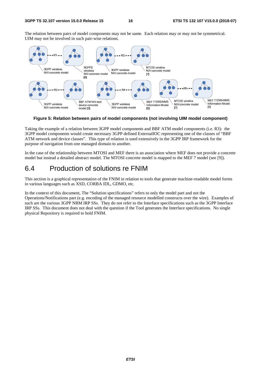The relation between pairs of model components may not be same. Each relation may or may not be symmetrical. UIM may not be involved in such pair-wise relations.



**Figure 5: Relation between pairs of model components (not involving UIM model component)** 

Taking the example of a relation between 3GPP model components and BBF ATM model components (i.e. R3): the 3GPP model components would create necessary 3GPP defined ExternalIOC representing one of the classes of "BBF ATM network and device classes". This type of relation is used extensively in the 3GPP IRP framework for the purpose of navigation from one managed domain to another.

In the case of the relationship between MTOSI and MEF there is an association where MEF does not provide a concrete model but instead a detailed abstract model. The MTOSI concrete model is mapped to the MEF 7 model (see [9]).

### 6.4 Production of solutions re FNIM

This section is a graphical representation of the FNIM in relation to tools that generate machine-readable model forms in various languages such as XSD, CORBA IDL, GDMO, etc.

In the context of this document, The "Solution specifications" refers to only the model part and not the Operations/Notifications part (e.g. encoding of the managed resource modelled constructs over the wire). Examples of such are the various 3GPP NRM IRP SSs. They do not refer to the Interface specifications such as the 3GPP Interface IRP SSs. This document does not deal with the question if the Tool generates the Interface specifications. No single physical Repository is required to hold FNIM.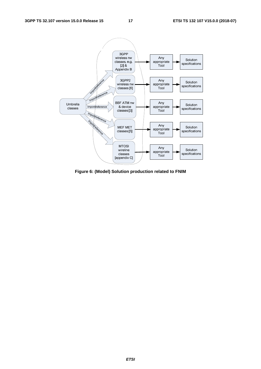

**Figure 6: (Model) Solution production related to FNIM**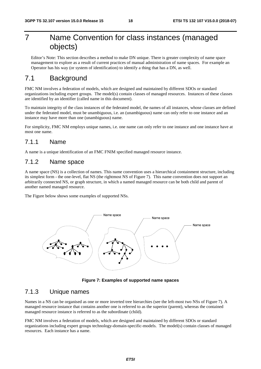## 7 Name Convention for class instances (managed objects)

Editor's Note: This section describes a method to make DN unique. There is greater complexity of name space management to explore as a result of current practices of manual administration of name spaces. For example an Operator has his way (or system of identification) to identify a thing that has a DN, as well.

### 7.1 Background

FMC NM involves a federation of models, which are designed and maintained by different SDOs or standard organizations including expert groups. The model(s) contain classes of managed resources. Instances of these classes are identified by an identifier (called name in this document).

To maintain integrity of the class instances of the federated model, the names of all instances, whose classes are defined under the federated model, must be unambiguous, i.e. an (unambiguous) name can only refer to one instance and an instance may have more than one (unambiguous) name.

For simplicity, FMC NM employs unique names, i.e. one name can only refer to one instance and one instance have at most one name.

#### 7.1.1 Name

A name is a unique identification of an FMC FNIM specified managed resource instance.

#### 7.1.2 Name space

A name space (NS) is a collection of names. This name convention uses a hierarchical containment structure, including its simplest form - the one-level, flat NS (the rightmost NS of Figure 7). This name convention does not support an arbitrarily connected NS, or graph structure, in which a named managed resource can be both child and parent of another named managed resource.

The Figure below shows some examples of supported NSs.



**Figure 7: Examples of supported name spaces** 

#### 7.1.3 Unique names

Names in a NS can be organised as one or more inverted tree hierarchies (see the left-most two NSs of Figure 7). A managed resource instance that contains another one is referred to as the superior (parent), whereas the contained managed resource instance is referred to as the subordinate (child).

FMC NM involves a federation of models, which are designed and maintained by different SDOs or standard organizations including expert groups technology-domain-specific-models. The model(s) contain classes of managed resources. Each instance has a name.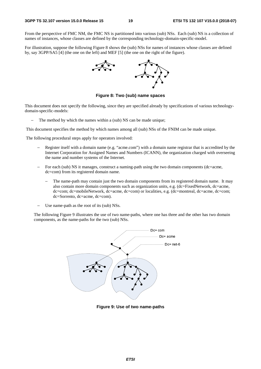From the perspective of FMC NM, the FMC NS is partitioned into various (sub) NSs. Each (sub) NS is a collection of names of instances, whose classes are defined by the corresponding technology-domain-specific-model.

For illustration, suppose the following Figure 8 shows the (sub) NSs for names of instances whose classes are defined by, say 3GPP/SA5 [4] (the one on the left) and MEF [5] (the one on the right of the figure).



**Figure 8: Two (sub) name spaces** 

This document does not specify the following, since they are specified already by specifications of various technologydomain-specific-models:

The method by which the names within a (sub) NS can be made unique;

This document specifies the method by which names among all (sub) NSs of the FNIM can be made unique.

The following procedural steps apply for operators involved:

- Register itself with a domain name (e.g. "acme.com") with a domain name registrar that is accredited by the Internet Corporation for Assigned Names and Numbers (ICANN), the organization charged with overseeing the name and number systems of the Internet.
- − For each (sub) NS it manages, construct a naming-path using the two domain components (dc=acme, dc=com) from its registered domain name.
	- The name-path may contain just the two domain components from its registered domain name. It may also contain more domain components such as organization units, e.g. (dc=FixedNetwork, dc=acme, dc=com; dc=mobileNetwork, dc=acme, dc=com) or localities, e.g. (dc=montreal, dc=acme, dc=com; dc=Sorrento, dc=acme, dc=com).
- Use name-path as the root of its (sub) NSs.

The following Figure 9 illustrates the use of two name-paths, where one has three and the other has two domain components, as the name-paths for the two (sub) NSs.



**Figure 9: Use of two name-paths**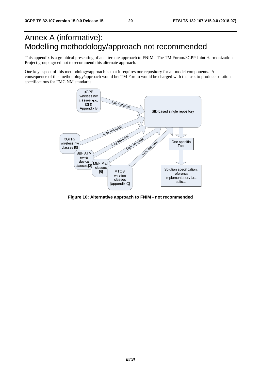## Annex A (informative): Modelling methodology/approach not recommended

This appendix is a graphical presenting of an alternate approach to FNIM. The TM Forum/3GPP Joint Harmonization Project group agreed not to recommend this alternate approach.

One key aspect of this methodology/approach is that it requires one repository for all model components. A consequence of this methodology/approach would be: TM Forum would be charged with the task to produce solution specifications for FMC NM standards.



**Figure 10: Alternative approach to FNIM - not recommended**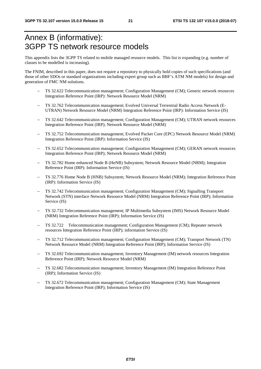## Annex B (informative): 3GPP TS network resource models

This appendix lists the 3GPP TS related to mobile managed resource models. This list is expanding (e.g. number of classes to be modelled is increasing).

The FNIM, described in this paper, does not require a repository to physically hold copies of such specifications (and those of other SDOs or standard organizations including expert group such as BBF's ATM NM models) for design and generation of FMC NM solutions.

- − TS 32.622 Telecommunication management; Configuration Management (CM); Generic network resources Integration Reference Point (IRP): Network Resource Model (NRM)
- − TS 32.762 Telecommunication management; Evolved Universal Terrestrial Radio Access Network (E-UTRAN) Network Resource Model (NRM) Integration Reference Point (IRP): Information Service (IS)
- TS 32.642 Telecommunication management; Configuration Management (CM); UTRAN network resources Integration Reference Point (IRP); Network Resource Model (NRM)
- − TS 32.752 Telecommunication management; Evolved Packet Core (EPC) Network Resource Model (NRM) Integration Reference Point (IRP): Information Service (IS)
- − TS 32.652 Telecommunication management; Configuration Management (CM); GERAN network resources Integration Reference Point (IRP); Network Resource Model (NRM)
- − TS 32.782 Home enhanced Node B (HeNB) Subsystem; Network Resource Model (NRM); Integration Reference Point (IRP): Information Service (IS)
- − TS 32.776 Home Node B (HNB) Subsystem; Network Resource Model (NRM); Integration Reference Point (IRP): Information Service (IS)
- TS 32.742 Telecommunication management; Configuration Management (CM); Signalling Transport Network (STN) interface Network Resource Model (NRM) Integration Reference Point (IRP); Information Service (IS)
- − TS 32.732 Telecommunication management; IP Multimedia Subsystem (IMS) Network Resource Model (NRM) Integration Reference Point (IRP); Information Service (IS)
- − TS 32.722 Telecommunication management; Configuration Management (CM); Repeater network resources Integration Reference Point (IRP); information Service (IS)
- − TS 32.712 Telecommunication management; Configuration Management (CM); Transport Network (TN) Network Resource Model (NRM) Integration Reference Point (IRP); Information Service (IS)
- TS 32.692 Telecommunication management; Inventory Management (IM) network resources Integration Reference Point (IRP); Network Resource Model (NRM)
- − TS 32.682 Telecommunication management; Inventory Management (IM) Integration Reference Point (IRP); Information Service (IS)
- − TS 32.672 Telecommunication management; Configuration Management (CM); State Management Integration Reference Point (IRP); Information Service (IS)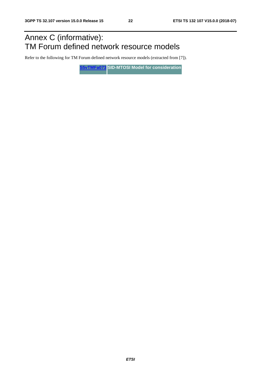## Annex C (informative): TM Forum defined network resource models

Refer to the following for TM Forum defined network resource models (extracted from [7]).

**[S5vTMFa073](ftp://ftp.3gpp.org/TSG_SA/WG5_TM/Ad-hoc_meetings/Virtual-TMF-Align/S5vTMFa073.zip) SID-MTOSI Model for consideration**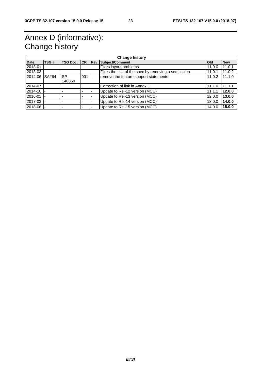## Annex D (informative): Change history

| <b>Change history</b> |       |          |            |             |                                                      |            |            |  |  |
|-----------------------|-------|----------|------------|-------------|------------------------------------------------------|------------|------------|--|--|
| <b>Date</b>           | TSG#  | TSG Doc. | <b>ICR</b> | <b>IRev</b> | <b>Subject/Comment</b>                               | <b>Old</b> | <b>New</b> |  |  |
| 2013-01               |       |          |            |             | Fixes layout problems                                | 11.0.0     | 11.0.1     |  |  |
| 2013-03               |       |          |            |             | Fixes the title of the spec by removing a semi colon | 11.0.1     | 11.0.2     |  |  |
| 2014-06               | SA#64 | SP-      | 001        |             | remove the feature support statements                | 11.0.2     | 11.1.0     |  |  |
|                       |       | 140359   |            |             |                                                      |            |            |  |  |
| 2014-07               |       |          |            |             | Correction of link in Annex C                        | 11.1.0     | 11.1.1     |  |  |
| 2014-10               |       |          |            |             | Update to Rel-12 version (MCC)                       | 11.1.1     | 12.0.0     |  |  |
| 2016-01               |       |          |            |             | Update to Rel-13 version (MCC)                       | 12.0.0     | 13.0.0     |  |  |
| 2017-03               |       |          |            |             | Update to Rel-14 version (MCC)                       | 13.0.0     | 14.0.0     |  |  |
| 2018-06               |       |          |            |             | Update to Rel-15 version (MCC)                       | 14.0.0     | 15.0.0     |  |  |